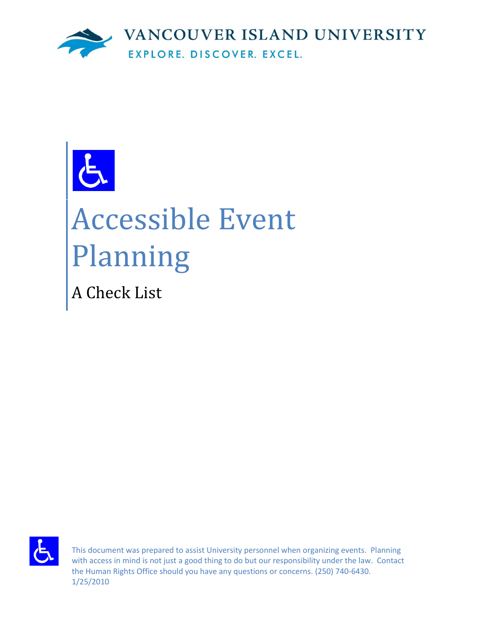

# Accessible Event Planning

A Check List



This document was prepared to assist University personnel when organizing events. Planning with access in mind is not just a good thing to do but our responsibility under the law. Contact the Human Rights Office should you have any questions or concerns. (250) 740-6430. 1/25/2010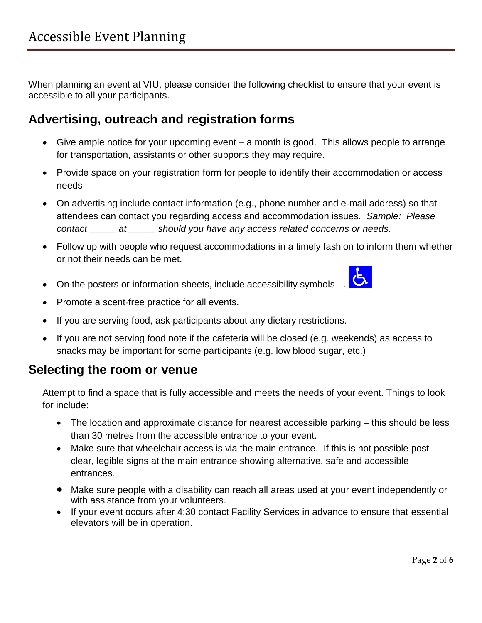When planning an event at VIU, please consider the following checklist to ensure that your event is accessible to all your participants.

## **Advertising, outreach and registration forms**

- Give ample notice for your upcoming event a month is good. This allows people to arrange for transportation, assistants or other supports they may require.
- Provide space on your registration form for people to identify their accommodation or access needs
- On advertising include contact information (e.g., phone number and e-mail address) so that attendees can contact you regarding access and accommodation issues. *Sample: Please contact \_\_\_\_\_ at \_\_\_\_\_ should you have any access related concerns or needs.*
- Follow up with people who request accommodations in a timely fashion to inform them whether or not their needs can be met.
- On the posters or information sheets, include accessibility symbols .  $\overline{\mathbf{G}}$
- 
- Promote a scent-free practice for all events.
- If you are serving food, ask participants about any dietary restrictions.
- If you are not serving food note if the cafeteria will be closed (e.g. weekends) as access to snacks may be important for some participants (e.g. low blood sugar, etc.)

### **Selecting the room or venue**

Attempt to find a space that is fully accessible and meets the needs of your event. Things to look for include:

- The location and approximate distance for nearest accessible parking this should be less than 30 metres from the accessible entrance to your event.
- Make sure that wheelchair access is via the main entrance. If this is not possible post clear, legible signs at the main entrance showing alternative, safe and accessible entrances.
- Make sure people with a disability can reach all areas used at your event independently or with assistance from your volunteers.
- If your event occurs after 4:30 contact Facility Services in advance to ensure that essential elevators will be in operation.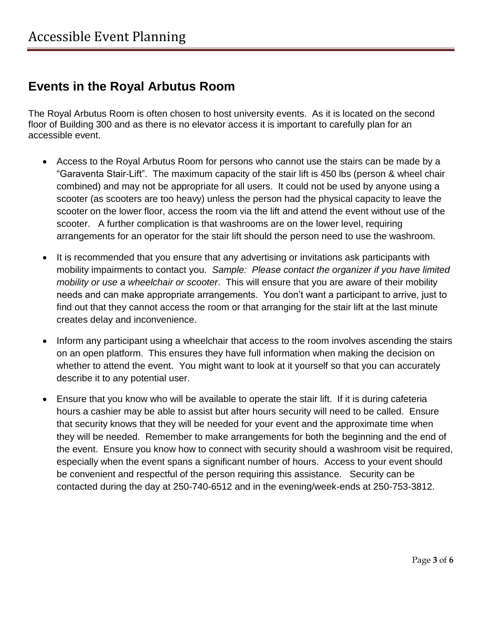# **Events in the Royal Arbutus Room**

The Royal Arbutus Room is often chosen to host university events. As it is located on the second floor of Building 300 and as there is no elevator access it is important to carefully plan for an accessible event.

- Access to the Royal Arbutus Room for persons who cannot use the stairs can be made by a "Garaventa Stair-Lift". The maximum capacity of the stair lift is 450 lbs (person & wheel chair combined) and may not be appropriate for all users. It could not be used by anyone using a scooter (as scooters are too heavy) unless the person had the physical capacity to leave the scooter on the lower floor, access the room via the lift and attend the event without use of the scooter. A further complication is that washrooms are on the lower level, requiring arrangements for an operator for the stair lift should the person need to use the washroom.
- It is recommended that you ensure that any advertising or invitations ask participants with mobility impairments to contact you. *Sample: Please contact the organizer if you have limited mobility or use a wheelchair or scooter*. This will ensure that you are aware of their mobility needs and can make appropriate arrangements. You don't want a participant to arrive, just to find out that they cannot access the room or that arranging for the stair lift at the last minute creates delay and inconvenience.
- Inform any participant using a wheelchair that access to the room involves ascending the stairs on an open platform. This ensures they have full information when making the decision on whether to attend the event. You might want to look at it yourself so that you can accurately describe it to any potential user.
- Ensure that you know who will be available to operate the stair lift. If it is during cafeteria hours a cashier may be able to assist but after hours security will need to be called. Ensure that security knows that they will be needed for your event and the approximate time when they will be needed. Remember to make arrangements for both the beginning and the end of the event. Ensure you know how to connect with security should a washroom visit be required, especially when the event spans a significant number of hours. Access to your event should be convenient and respectful of the person requiring this assistance. Security can be contacted during the day at 250-740-6512 and in the evening/week-ends at 250-753-3812.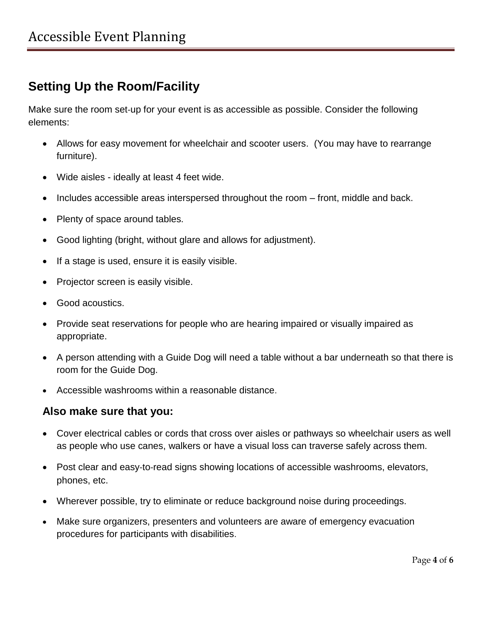# **Setting Up the Room/Facility**

Make sure the room set‐up for your event is as accessible as possible. Consider the following elements:

- Allows for easy movement for wheelchair and scooter users. (You may have to rearrange furniture).
- Wide aisles ideally at least 4 feet wide.
- Includes accessible areas interspersed throughout the room front, middle and back.
- Plenty of space around tables.
- Good lighting (bright, without glare and allows for adjustment).
- If a stage is used, ensure it is easily visible.
- Projector screen is easily visible.
- Good acoustics.
- Provide seat reservations for people who are hearing impaired or visually impaired as appropriate.
- A person attending with a Guide Dog will need a table without a bar underneath so that there is room for the Guide Dog.
- Accessible washrooms within a reasonable distance.

#### **Also make sure that you:**

- Cover electrical cables or cords that cross over aisles or pathways so wheelchair users as well as people who use canes, walkers or have a visual loss can traverse safely across them.
- Post clear and easy-to-read signs showing locations of accessible washrooms, elevators, phones, etc.
- Wherever possible, try to eliminate or reduce background noise during proceedings.
- Make sure organizers, presenters and volunteers are aware of emergency evacuation procedures for participants with disabilities.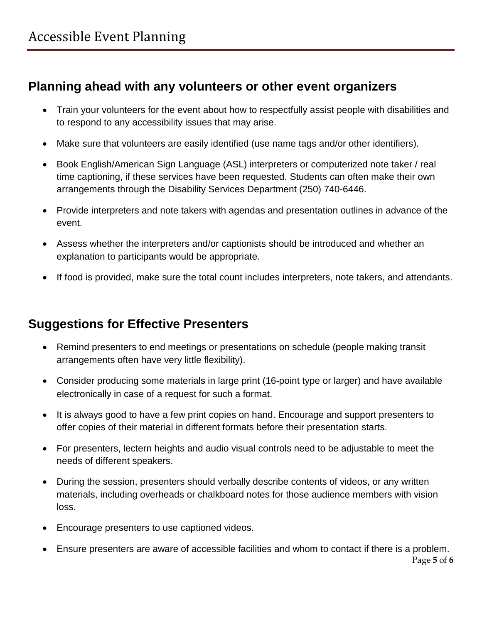# **Planning ahead with any volunteers or other event organizers**

- Train your volunteers for the event about how to respectfully assist people with disabilities and to respond to any accessibility issues that may arise.
- Make sure that volunteers are easily identified (use name tags and/or other identifiers).
- Book English/American Sign Language (ASL) interpreters or computerized note taker / real time captioning, if these services have been requested. Students can often make their own arrangements through the Disability Services Department (250) 740-6446.
- Provide interpreters and note takers with agendas and presentation outlines in advance of the event.
- Assess whether the interpreters and/or captionists should be introduced and whether an explanation to participants would be appropriate.
- If food is provided, make sure the total count includes interpreters, note takers, and attendants.

## **Suggestions for Effective Presenters**

- Remind presenters to end meetings or presentations on schedule (people making transit arrangements often have very little flexibility).
- Consider producing some materials in large print (16‐point type or larger) and have available electronically in case of a request for such a format.
- It is always good to have a few print copies on hand. Encourage and support presenters to offer copies of their material in different formats before their presentation starts.
- For presenters, lectern heights and audio visual controls need to be adjustable to meet the needs of different speakers.
- During the session, presenters should verbally describe contents of videos, or any written materials, including overheads or chalkboard notes for those audience members with vision loss.
- Encourage presenters to use captioned videos.
- Ensure presenters are aware of accessible facilities and whom to contact if there is a problem.